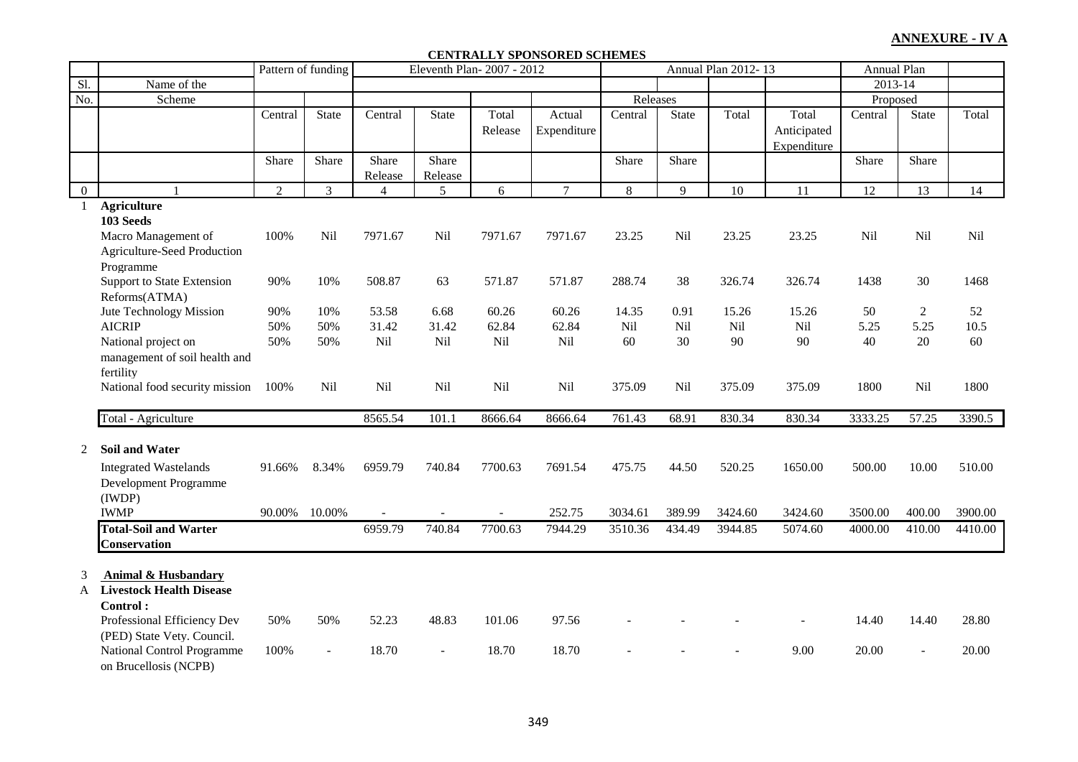#### **CENTRALLY SPONSORED SCHEMES**

|                |                                 |                | Pattern of funding |                |         | Eleventh Plan-2007 - 2012 |                |          |              | Annual Plan 2012-13 |                | Annual Plan |                |         |
|----------------|---------------------------------|----------------|--------------------|----------------|---------|---------------------------|----------------|----------|--------------|---------------------|----------------|-------------|----------------|---------|
| Sl.            | Name of the                     |                |                    |                |         |                           |                |          |              |                     |                | $2013 - 14$ |                |         |
| No.            | Scheme                          |                |                    |                |         |                           |                | Releases |              |                     |                | Proposed    |                |         |
|                |                                 | Central        | <b>State</b>       | Central        | State   | Total                     | Actual         | Central  | <b>State</b> | Total               | Total          | Central     | <b>State</b>   | Total   |
|                |                                 |                |                    |                |         | Release                   | Expenditure    |          |              |                     | Anticipated    |             |                |         |
|                |                                 |                |                    |                |         |                           |                |          |              |                     | Expenditure    |             |                |         |
|                |                                 | Share          | Share              | Share          | Share   |                           |                | Share    | Share        |                     |                | Share       | Share          |         |
|                |                                 |                |                    | Release        | Release |                           |                |          |              |                     |                |             |                |         |
| $\overline{0}$ | $\mathbf{1}$                    | $\overline{2}$ | 3                  | $\overline{4}$ | 5       | 6                         | $\overline{7}$ | 8        | 9            | 10                  | 11             | 12          | 13             | 14      |
| 1              | <b>Agriculture</b>              |                |                    |                |         |                           |                |          |              |                     |                |             |                |         |
|                | 103 Seeds                       |                |                    |                |         |                           |                |          |              |                     |                |             |                |         |
|                | Macro Management of             | 100%           | Nil                | 7971.67        | Nil     | 7971.67                   | 7971.67        | 23.25    | Nil          | 23.25               | 23.25          | Nil         | Nil            | Nil     |
|                | Agriculture-Seed Production     |                |                    |                |         |                           |                |          |              |                     |                |             |                |         |
|                | Programme                       |                |                    |                |         |                           |                |          |              |                     |                |             |                |         |
|                | Support to State Extension      | 90%            | 10%                | 508.87         | 63      | 571.87                    | 571.87         | 288.74   | 38           | 326.74              | 326.74         | 1438        | 30             | 1468    |
|                | Reforms(ATMA)                   |                |                    |                |         |                           |                |          |              |                     |                |             |                |         |
|                | Jute Technology Mission         | 90%            | 10%                | 53.58          | 6.68    | 60.26                     | 60.26          | 14.35    | 0.91         | 15.26               | 15.26          | 50          | $\overline{2}$ | 52      |
|                | <b>AICRIP</b>                   | 50%            | 50%                | 31.42          | 31.42   | 62.84                     | 62.84          | Nil      | Nil          | Nil                 | Nil            | 5.25        | 5.25           | 10.5    |
|                | National project on             | 50%            | 50%                | Nil            | Nil     | Nil                       | Nil            | 60       | 30           | 90                  | 90             | 40          | 20             | 60      |
|                | management of soil health and   |                |                    |                |         |                           |                |          |              |                     |                |             |                |         |
|                | fertility                       |                |                    |                |         |                           |                |          |              |                     |                |             |                |         |
|                | National food security mission  | 100%           | Nil                | Nil            | Nil     | Nil                       | Nil            | 375.09   | Nil          | 375.09              | 375.09         | 1800        | Nil            | 1800    |
|                | Total - Agriculture             |                |                    | 8565.54        | 101.1   | 8666.64                   | 8666.64        | 761.43   | 68.91        | 830.34              | 830.34         | 3333.25     | 57.25          | 3390.5  |
|                |                                 |                |                    |                |         |                           |                |          |              |                     |                |             |                |         |
| 2              | <b>Soil and Water</b>           |                |                    |                |         |                           |                |          |              |                     |                |             |                |         |
|                | <b>Integrated Wastelands</b>    | 91.66%         | 8.34%              | 6959.79        | 740.84  | 7700.63                   | 7691.54        | 475.75   | 44.50        | 520.25              | 1650.00        | 500.00      | 10.00          | 510.00  |
|                | Development Programme           |                |                    |                |         |                           |                |          |              |                     |                |             |                |         |
|                | (IWDP)                          |                |                    |                |         |                           |                |          |              |                     |                |             |                |         |
|                | <b>IWMP</b>                     | 90.00%         | 10.00%             |                |         |                           | 252.75         | 3034.61  | 389.99       | 3424.60             | 3424.60        | 3500.00     | 400.00         | 3900.00 |
|                | <b>Total-Soil and Warter</b>    |                |                    | 6959.79        | 740.84  | 7700.63                   | 7944.29        | 3510.36  | 434.49       | 3944.85             | 5074.60        | 4000.00     | 410.00         | 4410.00 |
|                | Conservation                    |                |                    |                |         |                           |                |          |              |                     |                |             |                |         |
|                |                                 |                |                    |                |         |                           |                |          |              |                     |                |             |                |         |
| 3              | <b>Animal &amp; Husbandary</b>  |                |                    |                |         |                           |                |          |              |                     |                |             |                |         |
| A              | <b>Livestock Health Disease</b> |                |                    |                |         |                           |                |          |              |                     |                |             |                |         |
|                | Control:                        |                |                    |                |         |                           |                |          |              |                     |                |             |                |         |
|                | Professional Efficiency Dev     | 50%            | 50%                | 52.23          | 48.83   | 101.06                    | 97.56          |          |              |                     | $\overline{a}$ | 14.40       | 14.40          | 28.80   |
|                | (PED) State Vety. Council.      |                |                    |                |         |                           |                |          |              |                     |                |             |                |         |
|                | National Control Programme      | 100%           |                    | 18.70          |         | 18.70                     | 18.70          |          |              |                     | 9.00           | 20.00       |                | 20.00   |
|                | on Brucellosis (NCPB)           |                |                    |                |         |                           |                |          |              |                     |                |             |                |         |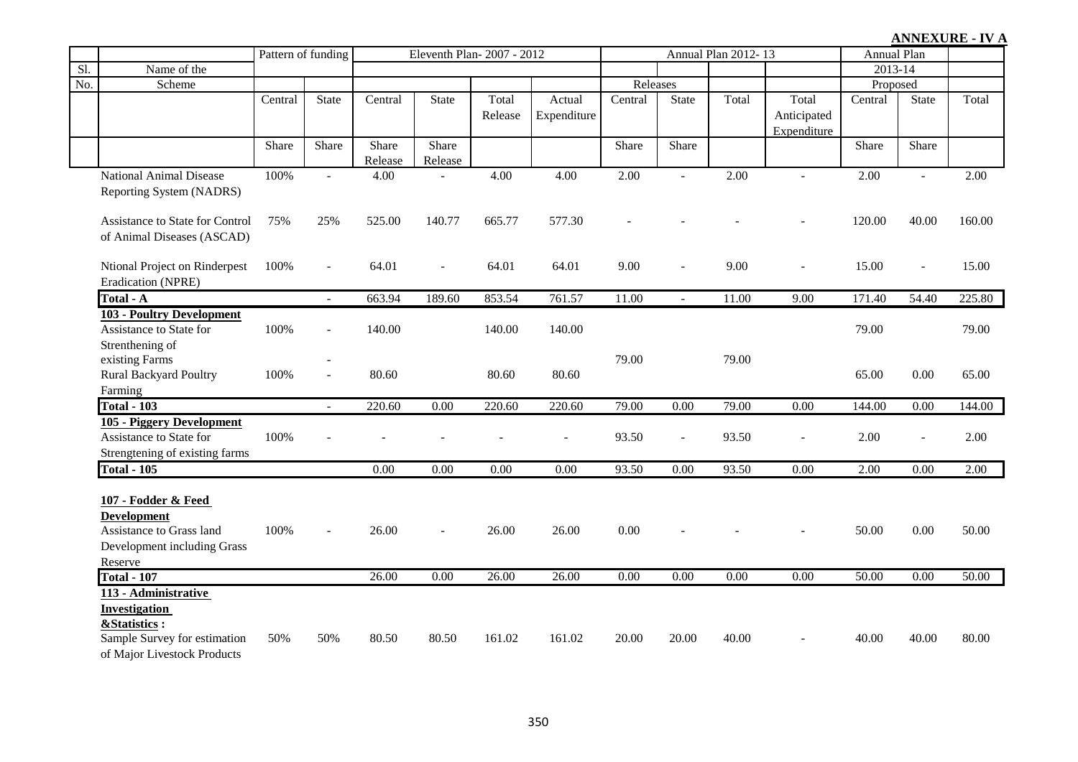|     |                                                                                                                             |         | Pattern of funding       | Eleventh Plan-2007 - 2012 |                  |                  |                       |          | Annual Plan 2012-13 |       | <b>Annual Plan</b>                  |          |                          |        |
|-----|-----------------------------------------------------------------------------------------------------------------------------|---------|--------------------------|---------------------------|------------------|------------------|-----------------------|----------|---------------------|-------|-------------------------------------|----------|--------------------------|--------|
| Sl. | Name of the                                                                                                                 |         |                          |                           |                  |                  |                       |          |                     |       |                                     | 2013-14  |                          |        |
| No. | Scheme                                                                                                                      |         |                          |                           |                  |                  |                       | Releases |                     |       |                                     | Proposed |                          |        |
|     |                                                                                                                             | Central | <b>State</b>             | Central                   | <b>State</b>     | Total<br>Release | Actual<br>Expenditure | Central  | <b>State</b>        | Total | Total<br>Anticipated<br>Expenditure | Central  | <b>State</b>             | Total  |
|     |                                                                                                                             | Share   | Share                    | Share<br>Release          | Share<br>Release |                  |                       | Share    | Share               |       |                                     | Share    | Share                    |        |
|     | <b>National Animal Disease</b><br>Reporting System (NADRS)                                                                  | 100%    | $\overline{a}$           | 4.00                      |                  | 4.00             | 4.00                  | 2.00     | $\overline{a}$      | 2.00  |                                     | 2.00     | $\overline{a}$           | 2.00   |
|     | Assistance to State for Control<br>of Animal Diseases (ASCAD)                                                               | 75%     | 25%                      | 525.00                    | 140.77           | 665.77           | 577.30                |          |                     |       |                                     | 120.00   | 40.00                    | 160.00 |
|     | Ntional Project on Rinderpest<br>Eradication (NPRE)                                                                         | 100%    | $\overline{a}$           | 64.01                     |                  | 64.01            | 64.01                 | 9.00     |                     | 9.00  |                                     | 15.00    | $\overline{a}$           | 15.00  |
|     | Total - A                                                                                                                   |         |                          | 663.94                    | 189.60           | 853.54           | 761.57                | 11.00    | $\sim$              | 11.00 | 9.00                                | 171.40   | 54.40                    | 225.80 |
|     | 103 - Poultry Development<br>Assistance to State for<br>Strenthening of                                                     | 100%    | $\overline{\phantom{a}}$ | 140.00                    |                  | 140.00           | 140.00                |          |                     |       |                                     | 79.00    |                          | 79.00  |
|     | existing Farms<br><b>Rural Backyard Poultry</b><br>Farming                                                                  | 100%    | $\blacksquare$<br>$\sim$ | 80.60                     |                  | 80.60            | 80.60                 | 79.00    |                     | 79.00 |                                     | 65.00    | $0.00\,$                 | 65.00  |
|     | Total $-103$                                                                                                                |         | $\sim$                   | 220.60                    | 0.00             | 220.60           | 220.60                | 79.00    | 0.00                | 79.00 | 0.00                                | 144.00   | 0.00                     | 144.00 |
|     | 105 - Piggery Development<br>Assistance to State for<br>Strengtening of existing farms                                      | 100%    |                          |                           |                  |                  |                       | 93.50    | L,                  | 93.50 |                                     | 2.00     | $\overline{\phantom{a}}$ | 2.00   |
|     | <b>Total - 105</b>                                                                                                          |         |                          | 0.00                      | 0.00             | 0.00             | 0.00                  | 93.50    | 0.00                | 93.50 | 0.00                                | 2.00     | 0.00                     | 2.00   |
|     | 107 - Fodder & Feed<br><b>Development</b><br>Assistance to Grass land<br>Development including Grass<br>Reserve             | 100%    | $\overline{a}$           | 26.00                     |                  | 26.00            | 26.00                 | 0.00     |                     |       |                                     | 50.00    | 0.00                     | 50.00  |
|     | <b>Total - 107</b>                                                                                                          |         |                          | 26.00                     | 0.00             | 26.00            | 26.00                 | 0.00     | 0.00                | 0.00  | 0.00                                | 50.00    | 0.00                     | 50.00  |
|     | 113 - Administrative<br><b>Investigation</b><br>&Statistics:<br>Sample Survey for estimation<br>of Major Livestock Products | 50%     | 50%                      | 80.50                     | 80.50            | 161.02           | 161.02                | 20.00    | 20.00               | 40.00 |                                     | 40.00    | 40.00                    | 80.00  |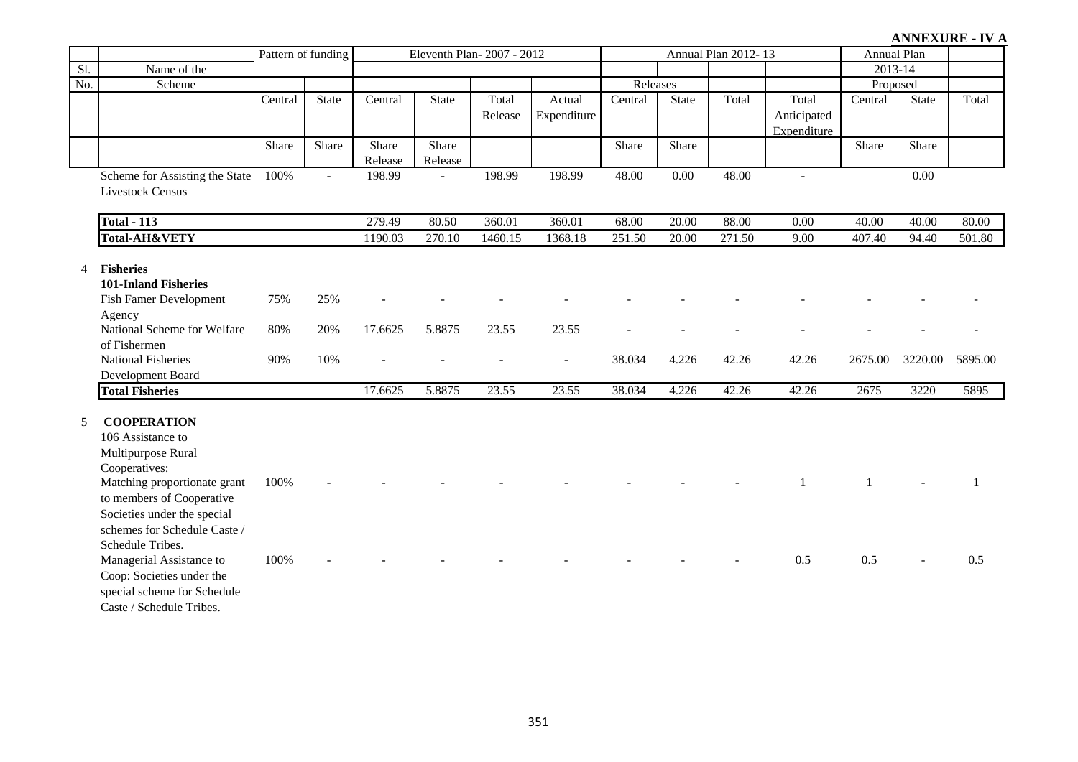|                   |                                                                                                                                                                                                                                                                                                                                                    |              | Pattern of funding | Eleventh Plan-2007 - 2012 |                  |                  |                       |          | Annual Plan 2012-13 |        |                                     | <b>Annual Plan</b> |              |         |
|-------------------|----------------------------------------------------------------------------------------------------------------------------------------------------------------------------------------------------------------------------------------------------------------------------------------------------------------------------------------------------|--------------|--------------------|---------------------------|------------------|------------------|-----------------------|----------|---------------------|--------|-------------------------------------|--------------------|--------------|---------|
| $\overline{sl}$ . | Name of the                                                                                                                                                                                                                                                                                                                                        |              |                    |                           |                  |                  |                       |          |                     |        |                                     | 2013-14            |              |         |
| No.               | Scheme                                                                                                                                                                                                                                                                                                                                             |              |                    |                           |                  |                  |                       | Releases |                     |        |                                     | Proposed           |              |         |
|                   |                                                                                                                                                                                                                                                                                                                                                    | Central      | <b>State</b>       | Central                   | <b>State</b>     | Total<br>Release | Actual<br>Expenditure | Central  | <b>State</b>        | Total  | Total<br>Anticipated<br>Expenditure | Central            | <b>State</b> | Total   |
|                   |                                                                                                                                                                                                                                                                                                                                                    | Share        | Share              | Share<br>Release          | Share<br>Release |                  |                       | Share    | Share               |        |                                     | Share              | Share        |         |
|                   | Scheme for Assisting the State<br><b>Livestock Census</b>                                                                                                                                                                                                                                                                                          | 100%         | $\Box$             | 198.99                    | $\overline{a}$   | 198.99           | 198.99                | 48.00    | $0.00\,$            | 48.00  | $\blacksquare$                      |                    | $0.00\,$     |         |
|                   | <b>Total - 113</b>                                                                                                                                                                                                                                                                                                                                 |              |                    | 279.49                    | 80.50            | 360.01           | 360.01                | 68.00    | 20.00               | 88.00  | 0.00                                | 40.00              | 40.00        | 80.00   |
|                   | Total-AH&VETY                                                                                                                                                                                                                                                                                                                                      |              |                    | 1190.03                   | 270.10           | 1460.15          | 1368.18               | 251.50   | 20.00               | 271.50 | 9.00                                | 407.40             | 94.40        | 501.80  |
| 4                 | <b>Fisheries</b><br><b>101-Inland Fisheries</b><br>Fish Famer Development<br>Agency                                                                                                                                                                                                                                                                | 75%          | 25%                |                           |                  |                  |                       |          |                     |        |                                     |                    |              |         |
|                   | National Scheme for Welfare<br>of Fishermen                                                                                                                                                                                                                                                                                                        | 80%          | 20%                | 17.6625                   | 5.8875           | 23.55            | 23.55                 |          |                     |        |                                     |                    |              |         |
|                   | <b>National Fisheries</b><br>Development Board                                                                                                                                                                                                                                                                                                     | 90%          | 10%                |                           |                  |                  | $\overline{a}$        | 38.034   | 4.226               | 42.26  | 42.26                               | 2675.00            | 3220.00      | 5895.00 |
|                   | <b>Total Fisheries</b>                                                                                                                                                                                                                                                                                                                             |              |                    | 17.6625                   | 5.8875           | 23.55            | 23.55                 | 38.034   | 4.226               | 42.26  | 42.26                               | 2675               | 3220         | 5895    |
| 5                 | <b>COOPERATION</b><br>106 Assistance to<br>Multipurpose Rural<br>Cooperatives:<br>Matching proportionate grant<br>to members of Cooperative<br>Societies under the special<br>schemes for Schedule Caste /<br>Schedule Tribes.<br>Managerial Assistance to<br>Coop: Societies under the<br>special scheme for Schedule<br>Caste / Schedule Tribes. | 100%<br>100% |                    |                           |                  |                  |                       |          |                     |        | 0.5                                 | 0.5                |              | 0.5     |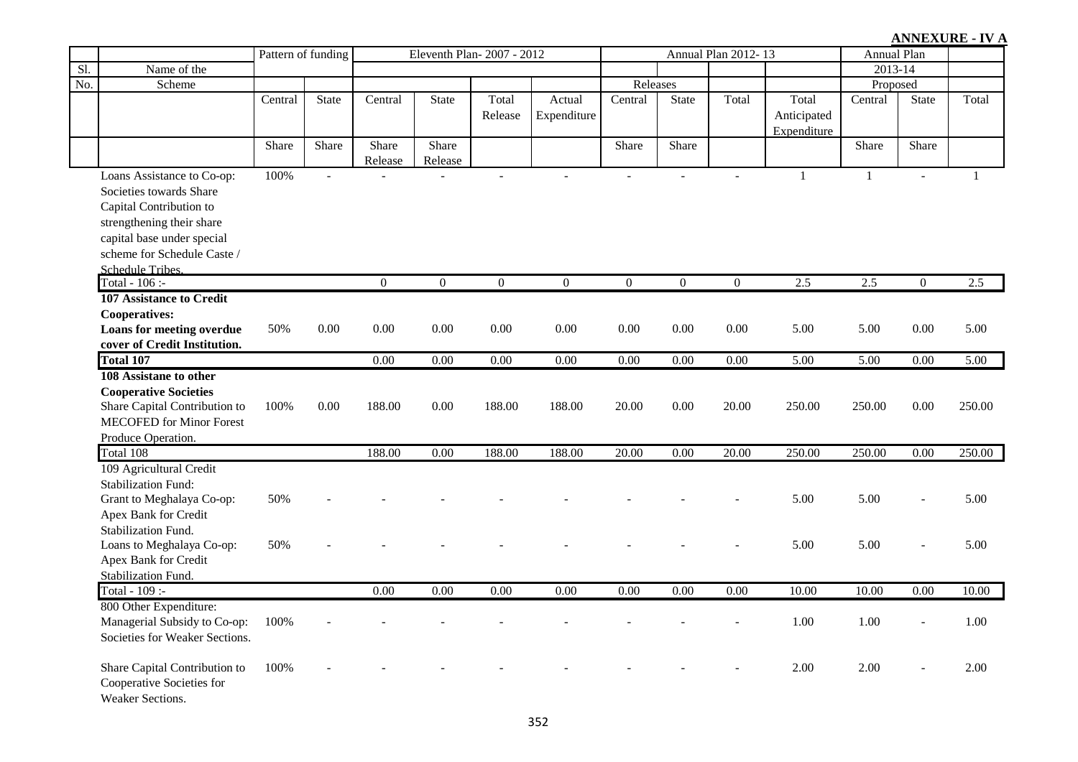|     |                                    | Pattern of funding |                | Eleventh Plan-2007 - 2012 |                  |                   |                   |                   | Annual Plan 2012-13 |                   | Annual Plan       |                   |                   |              |
|-----|------------------------------------|--------------------|----------------|---------------------------|------------------|-------------------|-------------------|-------------------|---------------------|-------------------|-------------------|-------------------|-------------------|--------------|
| Sl. | Name of the                        |                    |                |                           |                  |                   |                   |                   |                     |                   |                   | 2013-14           |                   |              |
| No. | Scheme                             |                    |                |                           |                  |                   |                   | Releases          |                     |                   |                   | Proposed          |                   |              |
|     |                                    | Central            | State          | Central                   | <b>State</b>     | Total             | Actual            | Central           | <b>State</b>        | Total             | Total             | Central           | <b>State</b>      | Total        |
|     |                                    |                    |                |                           |                  | Release           | Expenditure       |                   |                     |                   | Anticipated       |                   |                   |              |
|     |                                    |                    |                |                           |                  |                   |                   |                   |                     |                   | Expenditure       |                   |                   |              |
|     |                                    | Share              | Share          | Share                     | Share            |                   |                   | Share             | Share               |                   |                   | Share             | Share             |              |
|     |                                    |                    |                | Release                   | Release          |                   |                   |                   |                     |                   |                   |                   |                   |              |
|     | Loans Assistance to Co-op:         | 100%               | $\overline{a}$ |                           |                  |                   | $\overline{a}$    |                   | $\overline{a}$      |                   | $\mathbf{1}$      | $\mathbf{1}$      | $\overline{a}$    | $\mathbf{1}$ |
|     | Societies towards Share            |                    |                |                           |                  |                   |                   |                   |                     |                   |                   |                   |                   |              |
|     | Capital Contribution to            |                    |                |                           |                  |                   |                   |                   |                     |                   |                   |                   |                   |              |
|     | strengthening their share          |                    |                |                           |                  |                   |                   |                   |                     |                   |                   |                   |                   |              |
|     | capital base under special         |                    |                |                           |                  |                   |                   |                   |                     |                   |                   |                   |                   |              |
|     | scheme for Schedule Caste /        |                    |                |                           |                  |                   |                   |                   |                     |                   |                   |                   |                   |              |
|     | Schedule Tribes.<br>Total - 106 :- |                    |                | $\theta$                  | $\boldsymbol{0}$ | $\mathbf{0}$      | $\mathbf{0}$      | $\mathbf{0}$      | $\overline{0}$      | $\mathbf{0}$      | 2.5               | $2.5$             | $\mathbf{0}$      | 2.5          |
|     | 107 Assistance to Credit           |                    |                |                           |                  |                   |                   |                   |                     |                   |                   |                   |                   |              |
|     | <b>Cooperatives:</b>               |                    |                |                           |                  |                   |                   |                   |                     |                   |                   |                   |                   |              |
|     | Loans for meeting overdue          | 50%                | 0.00           | 0.00                      | 0.00             | $0.00\,$          | 0.00              | $0.00\,$          | 0.00                | 0.00              | 5.00              | 5.00              | 0.00              | 5.00         |
|     | cover of Credit Institution.       |                    |                |                           |                  |                   |                   |                   |                     |                   |                   |                   |                   |              |
|     | <b>Total 107</b>                   |                    |                | 0.00                      | 0.00             | $\overline{0.00}$ | $\overline{0.00}$ | $\overline{0.00}$ | $\overline{0.00}$   | $\overline{0.00}$ | $\overline{5.00}$ | $\overline{5.00}$ | $\overline{0.00}$ | 5.00         |
|     | 108 Assistane to other             |                    |                |                           |                  |                   |                   |                   |                     |                   |                   |                   |                   |              |
|     | <b>Cooperative Societies</b>       |                    |                |                           |                  |                   |                   |                   |                     |                   |                   |                   |                   |              |
|     | Share Capital Contribution to      | 100%               | 0.00           | 188.00                    | 0.00             | 188.00            | 188.00            | 20.00             | 0.00                | 20.00             | 250.00            | 250.00            | 0.00              | 250.00       |
|     | <b>MECOFED</b> for Minor Forest    |                    |                |                           |                  |                   |                   |                   |                     |                   |                   |                   |                   |              |
|     | Produce Operation.                 |                    |                |                           |                  |                   |                   |                   |                     |                   |                   |                   |                   |              |
|     | Total 108                          |                    |                | 188.00                    | 0.00             | 188.00            | 188.00            | 20.00             | 0.00                | 20.00             | 250.00            | 250.00            | 0.00              | 250.00       |
|     | 109 Agricultural Credit            |                    |                |                           |                  |                   |                   |                   |                     |                   |                   |                   |                   |              |
|     | <b>Stabilization Fund:</b>         |                    |                |                           |                  |                   |                   |                   |                     |                   |                   |                   |                   |              |
|     | Grant to Meghalaya Co-op:          | 50%                |                |                           |                  |                   |                   |                   |                     |                   | 5.00              | 5.00              | $\overline{a}$    | 5.00         |
|     | Apex Bank for Credit               |                    |                |                           |                  |                   |                   |                   |                     |                   |                   |                   |                   |              |
|     | Stabilization Fund.                |                    |                |                           |                  |                   |                   |                   |                     |                   |                   |                   |                   |              |
|     | Loans to Meghalaya Co-op:          | 50%                |                |                           |                  |                   |                   |                   |                     |                   | 5.00              | 5.00              | $\sim$            | 5.00         |
|     | Apex Bank for Credit               |                    |                |                           |                  |                   |                   |                   |                     |                   |                   |                   |                   |              |
|     | Stabilization Fund.                |                    |                |                           |                  |                   |                   |                   |                     |                   |                   |                   |                   |              |
|     | Total - 109 :-                     |                    |                | 0.00                      | 0.00             | 0.00              | 0.00              | 0.00              | 0.00                | 0.00              | 10.00             | 10.00             | 0.00              | 10.00        |
|     | 800 Other Expenditure:             |                    |                |                           |                  |                   |                   |                   |                     |                   |                   |                   |                   |              |
|     | Managerial Subsidy to Co-op:       | 100%               |                |                           |                  |                   |                   |                   |                     |                   | 1.00              | 1.00              | $\blacksquare$    | 1.00         |
|     | Societies for Weaker Sections.     |                    |                |                           |                  |                   |                   |                   |                     |                   |                   |                   |                   |              |
|     | Share Capital Contribution to      | 100%               |                |                           |                  |                   |                   |                   |                     |                   | 2.00              | 2.00              |                   | 2.00         |
|     | Cooperative Societies for          |                    |                |                           |                  |                   |                   |                   |                     |                   |                   |                   |                   |              |
|     | Weaker Sections.                   |                    |                |                           |                  |                   |                   |                   |                     |                   |                   |                   |                   |              |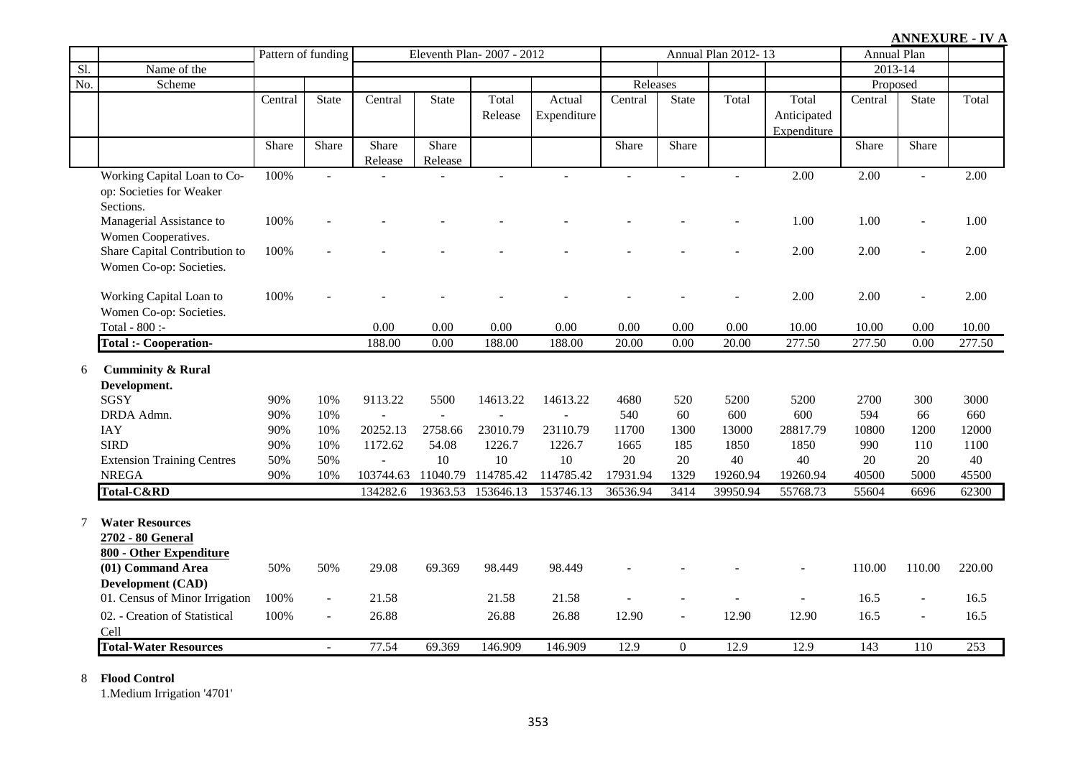|                   |                                   | Pattern of funding |                          | Eleventh Plan-2007 - 2012 |              |           |             |          | Annual Plan 2012-13 |          | <b>Annual Plan</b> |             |                          |        |
|-------------------|-----------------------------------|--------------------|--------------------------|---------------------------|--------------|-----------|-------------|----------|---------------------|----------|--------------------|-------------|--------------------------|--------|
| $\overline{sl}$   | Name of the                       |                    |                          |                           |              |           |             |          |                     |          |                    | $2013 - 14$ |                          |        |
| $\overline{No}$ . | Scheme                            |                    |                          |                           |              |           |             | Releases |                     |          |                    | Proposed    |                          |        |
|                   |                                   | Central            | <b>State</b>             | Central                   | <b>State</b> | Total     | Actual      | Central  | <b>State</b>        | Total    | Total              | Central     | State                    | Total  |
|                   |                                   |                    |                          |                           |              | Release   | Expenditure |          |                     |          | Anticipated        |             |                          |        |
|                   |                                   |                    |                          |                           |              |           |             |          |                     |          | Expenditure        |             |                          |        |
|                   |                                   | Share              | Share                    | Share                     | Share        |           |             | Share    | Share               |          |                    | Share       | Share                    |        |
|                   |                                   |                    |                          | Release                   | Release      |           |             |          |                     |          |                    |             |                          |        |
|                   | Working Capital Loan to Co-       | 100%               | $\blacksquare$           |                           |              |           |             |          |                     |          | 2.00               | 2.00        | $\overline{a}$           | 2.00   |
|                   | op: Societies for Weaker          |                    |                          |                           |              |           |             |          |                     |          |                    |             |                          |        |
|                   | Sections.                         |                    |                          |                           |              |           |             |          |                     |          |                    |             |                          |        |
|                   | Managerial Assistance to          | 100%               |                          |                           |              |           |             |          |                     |          | 1.00               | 1.00        | $\blacksquare$           | 1.00   |
|                   | Women Cooperatives.               |                    |                          |                           |              |           |             |          |                     |          |                    |             |                          |        |
|                   | Share Capital Contribution to     | 100%               |                          |                           |              |           |             |          |                     |          | 2.00               | 2.00        | $\overline{a}$           | 2.00   |
|                   | Women Co-op: Societies.           |                    |                          |                           |              |           |             |          |                     |          |                    |             |                          |        |
|                   | Working Capital Loan to           | 100%               |                          |                           |              |           |             |          |                     |          | 2.00               | 2.00        | $\blacksquare$           | 2.00   |
|                   | Women Co-op: Societies.           |                    |                          |                           |              |           |             |          |                     |          |                    |             |                          |        |
|                   | Total - 800 :-                    |                    |                          | 0.00                      | 0.00         | 0.00      | 0.00        | 0.00     | 0.00                | 0.00     | 10.00              | 10.00       | 0.00                     | 10.00  |
|                   | <b>Total :- Cooperation-</b>      |                    |                          | 188.00                    | 0.00         | 188.00    | 188.00      | 20.00    | 0.00                | 20.00    | 277.50             | 277.50      | $\overline{0.00}$        | 277.50 |
|                   |                                   |                    |                          |                           |              |           |             |          |                     |          |                    |             |                          |        |
| 6                 | <b>Cumminity &amp; Rural</b>      |                    |                          |                           |              |           |             |          |                     |          |                    |             |                          |        |
|                   | Development.                      |                    |                          |                           |              |           |             |          |                     |          |                    |             |                          |        |
|                   | <b>SGSY</b>                       | 90%                | 10%                      | 9113.22                   | 5500         | 14613.22  | 14613.22    | 4680     | 520                 | 5200     | 5200               | 2700        | 300                      | 3000   |
|                   | DRDA Admn.                        | 90%                | 10%                      |                           |              |           |             | 540      | 60                  | 600      | 600                | 594         | 66                       | 660    |
|                   | <b>IAY</b>                        | 90%                | 10%                      | 20252.13                  | 2758.66      | 23010.79  | 23110.79    | 11700    | 1300                | 13000    | 28817.79           | 10800       | 1200                     | 12000  |
|                   | <b>SIRD</b>                       | 90%                | 10%                      | 1172.62                   | 54.08        | 1226.7    | 1226.7      | 1665     | 185                 | 1850     | 1850               | 990         | 110                      | 1100   |
|                   | <b>Extension Training Centres</b> | 50%                | 50%                      | $\overline{\phantom{a}}$  | 10           | $10\,$    | 10          | 20       | 20                  | 40       | 40                 | 20          | 20                       | 40     |
|                   | <b>NREGA</b>                      | 90%                | 10%                      | 103744.63                 | 11040.79     | 114785.42 | 114785.42   | 17931.94 | 1329                | 19260.94 | 19260.94           | 40500       | 5000                     | 45500  |
|                   | Total-C&RD                        |                    |                          | 134282.6                  | 19363.53     | 153646.13 | 153746.13   | 36536.94 | 3414                | 39950.94 | 55768.73           | 55604       | 6696                     | 62300  |
|                   |                                   |                    |                          |                           |              |           |             |          |                     |          |                    |             |                          |        |
| 7                 | <b>Water Resources</b>            |                    |                          |                           |              |           |             |          |                     |          |                    |             |                          |        |
|                   | 2702 - 80 General                 |                    |                          |                           |              |           |             |          |                     |          |                    |             |                          |        |
|                   | 800 - Other Expenditure           |                    |                          |                           |              |           |             |          |                     |          |                    |             |                          |        |
|                   | (01) Command Area                 | 50%                | 50%                      | 29.08                     | 69.369       | 98.449    | 98.449      |          |                     |          |                    | 110.00      | 110.00                   | 220.00 |
|                   | Development (CAD)                 |                    |                          |                           |              |           |             |          |                     |          |                    |             |                          |        |
|                   | 01. Census of Minor Irrigation    | 100%               | $\blacksquare$           | 21.58                     |              | 21.58     | 21.58       |          |                     |          |                    | 16.5        | $\overline{a}$           | 16.5   |
|                   | 02. - Creation of Statistical     | 100%               | $\overline{\phantom{a}}$ | 26.88                     |              | 26.88     | 26.88       | 12.90    | $\blacksquare$      | 12.90    | 12.90              | 16.5        | $\overline{\phantom{a}}$ | 16.5   |
|                   | Cell                              |                    |                          |                           |              |           |             |          |                     |          |                    |             |                          |        |
|                   | <b>Total-Water Resources</b>      |                    | $\blacksquare$           | 77.54                     | 69.369       | 146.909   | 146.909     | 12.9     | $\Omega$            | 12.9     | 12.9               | 143         | 110                      | 253    |

### 8 **Flood Control**

1.Medium Irrigation '4701'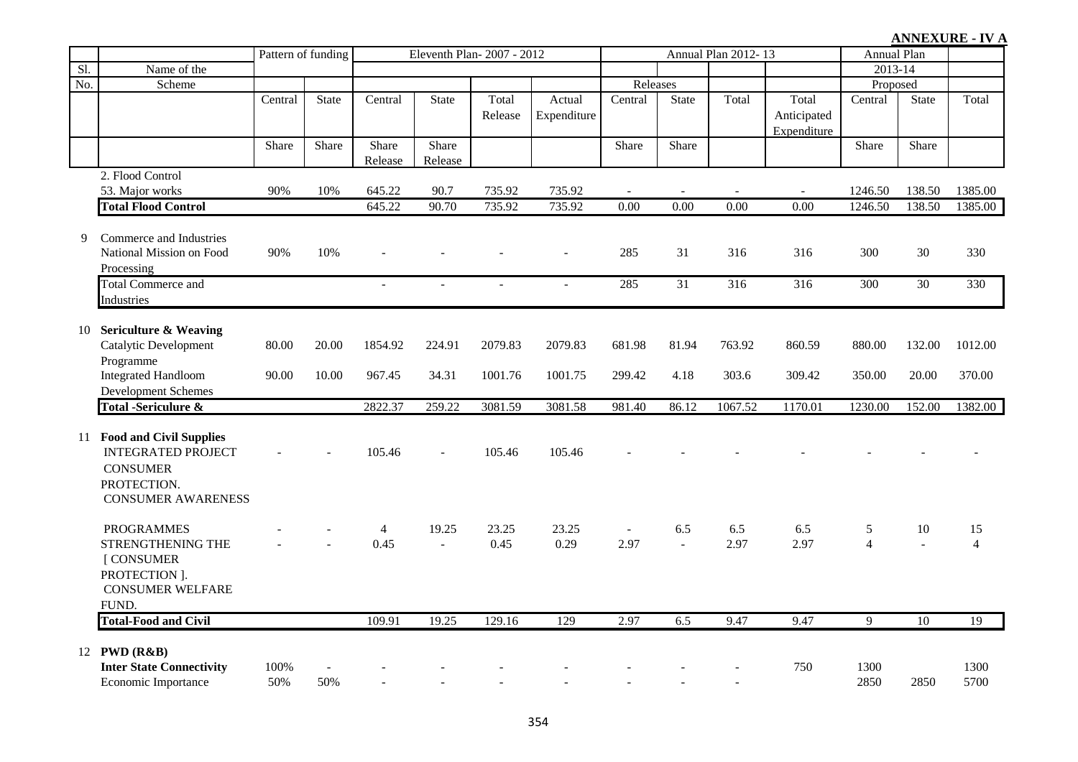|     |                                                                                                                        | Pattern of funding |                |                   | Eleventh Plan-2007 - 2012 |                    |                       |                  |                       | Annual Plan 2012-13 |                                     | Annual Plan         |                      |                      |
|-----|------------------------------------------------------------------------------------------------------------------------|--------------------|----------------|-------------------|---------------------------|--------------------|-----------------------|------------------|-----------------------|---------------------|-------------------------------------|---------------------|----------------------|----------------------|
| Sl. | Name of the                                                                                                            |                    |                |                   |                           |                    |                       |                  |                       |                     |                                     | 2013-14             |                      |                      |
| No. | Scheme                                                                                                                 |                    |                |                   |                           |                    |                       | Releases         |                       |                     |                                     | Proposed            |                      |                      |
|     |                                                                                                                        | Central            | <b>State</b>   | Central           | State                     | Total<br>Release   | Actual<br>Expenditure | Central          | State                 | Total               | Total<br>Anticipated<br>Expenditure | Central             | <b>State</b>         | Total                |
|     |                                                                                                                        | Share              | Share          | Share<br>Release  | Share<br>Release          |                    |                       | Share            | Share                 |                     |                                     | Share               | Share                |                      |
|     | 2. Flood Control<br>53. Major works                                                                                    | 90%                | 10%            | 645.22            | 90.7                      | 735.92             | 735.92                |                  |                       |                     |                                     | 1246.50             | 138.50               | 1385.00              |
|     | <b>Total Flood Control</b>                                                                                             |                    |                | 645.22            | 90.70                     | 735.92             | 735.92                | 0.00             | 0.00                  | 0.00                | 0.00                                | 1246.50             | 138.50               | 1385.00              |
| 9   | Commerce and Industries<br>National Mission on Food<br>Processing                                                      | 90%                | 10%            |                   |                           |                    |                       | 285              | 31                    | 316                 | 316                                 | 300                 | 30                   | 330                  |
|     | <b>Total Commerce and</b>                                                                                              |                    |                |                   |                           |                    |                       | 285              | $\overline{31}$       | 316                 | $\overline{316}$                    | 300                 | $\overline{30}$      | 330                  |
|     | Industries                                                                                                             |                    |                |                   |                           |                    |                       |                  |                       |                     |                                     |                     |                      |                      |
|     | 10 Sericulture & Weaving<br>Catalytic Development<br>Programme<br><b>Integrated Handloom</b>                           | 80.00<br>90.00     | 20.00<br>10.00 | 1854.92<br>967.45 | 224.91<br>34.31           | 2079.83<br>1001.76 | 2079.83<br>1001.75    | 681.98<br>299.42 | 81.94<br>4.18         | 763.92<br>303.6     | 860.59<br>309.42                    | 880.00<br>350.00    | 132.00<br>20.00      | 1012.00<br>370.00    |
|     | Development Schemes                                                                                                    |                    |                |                   |                           |                    |                       |                  |                       |                     |                                     |                     |                      |                      |
|     | <b>Total -Sericulure &amp;</b>                                                                                         |                    |                | 2822.37           | 259.22                    | 3081.59            | 3081.58               | 981.40           | 86.12                 | 1067.52             | 1170.01                             | 1230.00             | 152.00               | 1382.00              |
|     | 11 Food and Civil Supplies<br><b>INTEGRATED PROJECT</b><br><b>CONSUMER</b><br>PROTECTION.<br><b>CONSUMER AWARENESS</b> |                    |                | 105.46            | $\overline{a}$            | 105.46             | 105.46                |                  |                       |                     |                                     |                     |                      |                      |
|     | <b>PROGRAMMES</b><br>STRENGTHENING THE<br>[ CONSUMER<br>PROTECTION ].<br><b>CONSUMER WELFARE</b><br>FUND.              |                    |                | 4<br>0.45         | 19.25<br>$\overline{a}$   | 23.25<br>0.45      | 23.25<br>0.29         | $\sim$<br>2.97   | 6.5<br>$\overline{a}$ | 6.5<br>2.97         | 6.5<br>2.97                         | 5<br>$\overline{4}$ | 10<br>$\overline{a}$ | 15<br>$\overline{4}$ |
|     | <b>Total-Food and Civil</b>                                                                                            |                    |                | 109.91            | 19.25                     | 129.16             | $\overline{129}$      | 2.97             | 6.5                   | 9.47                | 9.47                                | 9                   | $\overline{10}$      | 19                   |
|     | 12 PWD (R&B)<br><b>Inter State Connectivity</b><br>Economic Importance                                                 | 100%<br>50%        | 50%            |                   |                           |                    |                       |                  |                       |                     | 750                                 | 1300<br>2850        | 2850                 | 1300<br>5700         |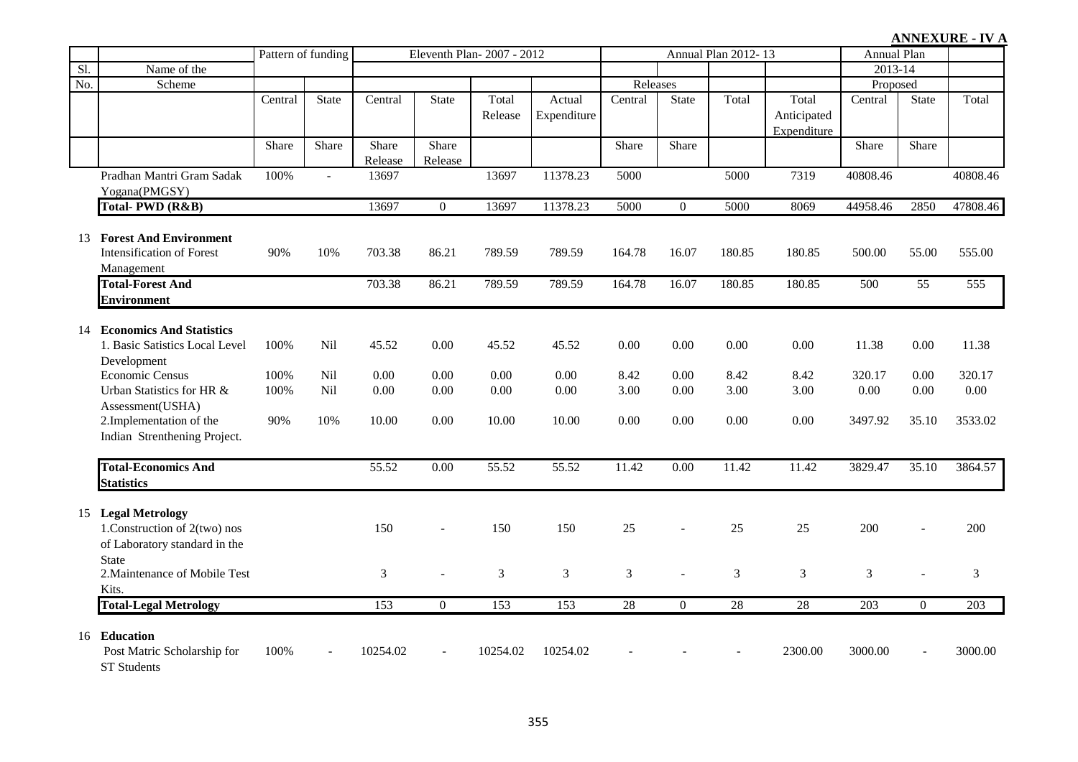|     |                                                                                                        | Pattern of funding |              | Eleventh Plan-2007 - 2012 |                  |                  |                       |                  | Annual Plan 2012-13 |                  | <b>Annual Plan</b>   |               |                          |                            |
|-----|--------------------------------------------------------------------------------------------------------|--------------------|--------------|---------------------------|------------------|------------------|-----------------------|------------------|---------------------|------------------|----------------------|---------------|--------------------------|----------------------------|
| Sl. | Name of the                                                                                            |                    |              |                           |                  |                  |                       |                  |                     |                  |                      | 2013-14       |                          |                            |
| No. | Scheme                                                                                                 |                    |              |                           |                  |                  |                       | Releases         |                     |                  |                      | Proposed      |                          |                            |
|     |                                                                                                        | Central            | <b>State</b> | Central                   | <b>State</b>     | Total<br>Release | Actual<br>Expenditure | Central          | State               | Total            | Total<br>Anticipated | Central       | <b>State</b>             | Total                      |
|     |                                                                                                        |                    |              |                           |                  |                  |                       |                  |                     |                  | Expenditure          |               |                          |                            |
|     |                                                                                                        | Share              | Share        | Share<br>Release          | Share<br>Release |                  |                       | Share            | Share               |                  |                      | Share         | Share                    |                            |
|     | Pradhan Mantri Gram Sadak<br>Yogana(PMGSY)                                                             | 100%               | $\sim$       | 13697                     |                  | 13697            | 11378.23              | 5000             |                     | 5000             | 7319                 | 40808.46      |                          | 40808.46                   |
|     | Total-PWD (R&B)                                                                                        |                    |              | 13697                     | $\theta$         | 13697            | 11378.23              | 5000             | $\Omega$            | 5000             | 8069                 | 44958.46      | 2850                     | 47808.46                   |
|     | 13 Forest And Environment<br><b>Intensification of Forest</b><br>Management<br><b>Total-Forest And</b> | 90%                | 10%          | 703.38<br>703.38          | 86.21<br>86.21   | 789.59<br>789.59 | 789.59<br>789.59      | 164.78<br>164.78 | 16.07<br>16.07      | 180.85<br>180.85 | 180.85<br>180.85     | 500.00<br>500 | 55.00<br>$\overline{55}$ | 555.00<br>$\overline{555}$ |
|     | <b>Environment</b>                                                                                     |                    |              |                           |                  |                  |                       |                  |                     |                  |                      |               |                          |                            |
|     | 14 Economics And Statistics<br>1. Basic Satistics Local Level<br>Development                           | 100%               | Nil          | 45.52                     | 0.00             | 45.52            | 45.52                 | 0.00             | 0.00                | 0.00             | 0.00                 | 11.38         | 0.00                     | 11.38                      |
|     | <b>Economic Census</b>                                                                                 | 100%               | Nil          | 0.00                      | 0.00             | 0.00             | 0.00                  | 8.42             | 0.00                | 8.42             | 8.42                 | 320.17        | 0.00                     | 320.17                     |
|     | Urban Statistics for HR &<br>Assessment(USHA)                                                          | 100%               | Nil          | 0.00                      | 0.00             | 0.00             | 0.00                  | 3.00             | 0.00                | 3.00             | 3.00                 | 0.00          | 0.00                     | 0.00                       |
|     | 2. Implementation of the<br>Indian Strenthening Project.                                               | 90%                | 10%          | 10.00                     | 0.00             | 10.00            | 10.00                 | 0.00             | 0.00                | 0.00             | 0.00                 | 3497.92       | 35.10                    | 3533.02                    |
|     | <b>Total-Economics And</b><br><b>Statistics</b>                                                        |                    |              | 55.52                     | 0.00             | 55.52            | 55.52                 | 11.42            | 0.00                | 11.42            | 11.42                | 3829.47       | 35.10                    | 3864.57                    |
|     | 15 Legal Metrology<br>1. Construction of $2$ (two) nos<br>of Laboratory standard in the                |                    |              | 150                       |                  | 150              | 150                   | 25               |                     | 25               | 25                   | 200           |                          | 200                        |
|     | <b>State</b><br>2. Maintenance of Mobile Test<br>Kits.                                                 |                    |              | 3                         |                  | $\mathfrak{Z}$   | 3                     | 3                |                     | $\overline{3}$   | $\overline{3}$       | 3             |                          | $\mathfrak{Z}$             |
|     | <b>Total-Legal Metrology</b>                                                                           |                    |              | $\overline{153}$          | $\overline{0}$   | $\overline{153}$ | 153                   | $\overline{28}$  | $\overline{0}$      | $\overline{28}$  | $\overline{28}$      | 203           | $\overline{0}$           | $\overline{203}$           |
|     | 16 Education<br>Post Matric Scholarship for<br><b>ST</b> Students                                      | 100%               |              | 10254.02                  |                  | 10254.02         | 10254.02              |                  |                     |                  | 2300.00              | 3000.00       |                          | 3000.00                    |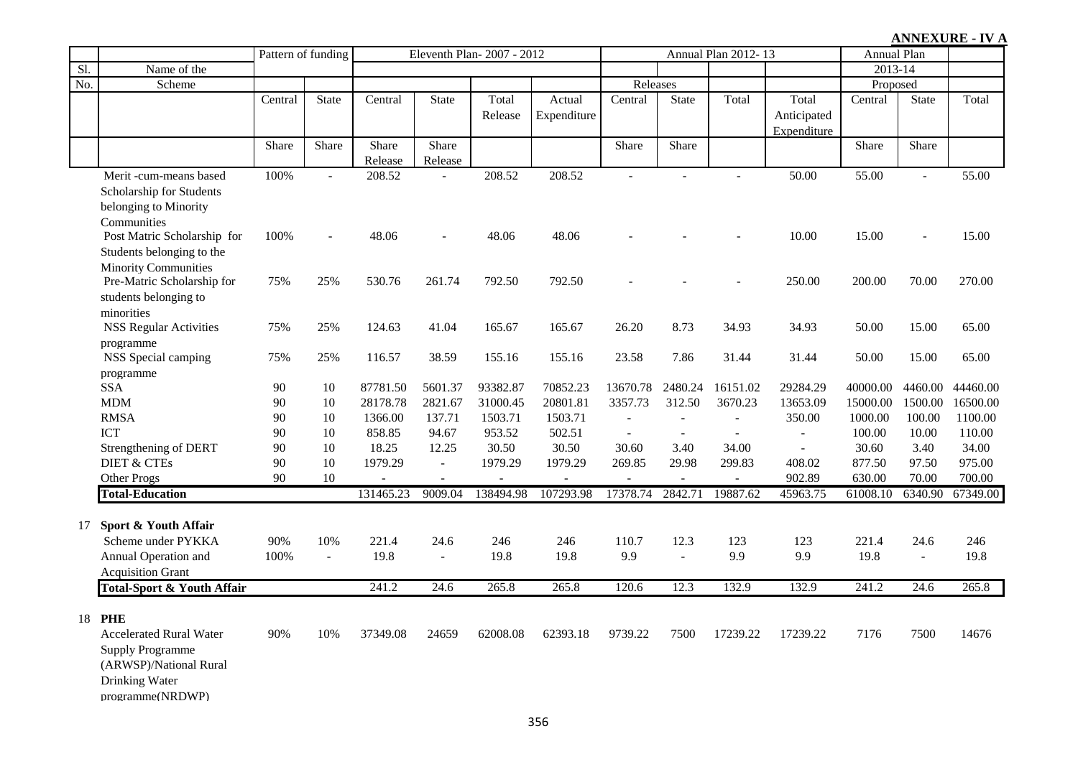|     |                                                                                                                     |                    |                |                  |                  |                           |                       |                          |                |                          |                                     |             |                | <b>ANNEXURE - IV A</b> |
|-----|---------------------------------------------------------------------------------------------------------------------|--------------------|----------------|------------------|------------------|---------------------------|-----------------------|--------------------------|----------------|--------------------------|-------------------------------------|-------------|----------------|------------------------|
|     |                                                                                                                     | Pattern of funding |                |                  |                  | Eleventh Plan-2007 - 2012 |                       |                          |                | Annual Plan 2012-13      |                                     | Annual Plan |                |                        |
| Sl. | Name of the                                                                                                         |                    |                |                  |                  |                           |                       |                          |                |                          |                                     | 2013-14     |                |                        |
| No. | Scheme                                                                                                              |                    |                |                  |                  |                           |                       | Releases                 |                |                          |                                     | Proposed    |                |                        |
|     |                                                                                                                     | Central            | State          | Central          | State            | Total<br>Release          | Actual<br>Expenditure | Central                  | <b>State</b>   | Total                    | Total<br>Anticipated<br>Expenditure | Central     | State          | Total                  |
|     |                                                                                                                     | Share              | Share          | Share<br>Release | Share<br>Release |                           |                       | Share                    | Share          |                          |                                     | Share       | Share          |                        |
|     | Merit -cum-means based<br>Scholarship for Students<br>belonging to Minority<br>Communities                          | 100%               | $\mathbf{L}$   | 208.52           | $\mathbb{L}$     | 208.52                    | 208.52                | $\overline{a}$           | $\overline{a}$ | $\overline{a}$           | 50.00                               | 55.00       | $\mathbf{r}$   | 55.00                  |
|     | Post Matric Scholarship for<br>Students belonging to the<br><b>Minority Communities</b>                             | 100%               |                | 48.06            | $\overline{a}$   | 48.06                     | 48.06                 |                          |                |                          | 10.00                               | 15.00       | $\sim$         | 15.00                  |
|     | Pre-Matric Scholarship for<br>students belonging to<br>minorities                                                   | 75%                | 25%            | 530.76           | 261.74           | 792.50                    | 792.50                |                          |                |                          | 250.00                              | 200.00      | 70.00          | 270.00                 |
|     | <b>NSS Regular Activities</b><br>programme                                                                          | 75%                | 25%            | 124.63           | 41.04            | 165.67                    | 165.67                | 26.20                    | 8.73           | 34.93                    | 34.93                               | 50.00       | 15.00          | 65.00                  |
|     | NSS Special camping<br>programme                                                                                    | 75%                | 25%            | 116.57           | 38.59            | 155.16                    | 155.16                | 23.58                    | 7.86           | 31.44                    | 31.44                               | 50.00       | 15.00          | 65.00                  |
|     | <b>SSA</b>                                                                                                          | 90                 | 10             | 87781.50         | 5601.37          | 93382.87                  | 70852.23              | 13670.78                 | 2480.24        | 16151.02                 | 29284.29                            | 40000.00    | 4460.00        | 44460.00               |
|     | <b>MDM</b>                                                                                                          | 90                 | 10             | 28178.78         | 2821.67          | 31000.45                  | 20801.81              | 3357.73                  | 312.50         | 3670.23                  | 13653.09                            | 15000.00    | 1500.00        | 16500.00               |
|     | <b>RMSA</b>                                                                                                         | 90                 | 10             | 1366.00          | 137.71           | 1503.71                   | 1503.71               | $\sim$                   |                | $\overline{\phantom{a}}$ | 350.00                              | 1000.00     | 100.00         | 1100.00                |
|     | ICT                                                                                                                 | 90                 | 10             | 858.85           | 94.67            | 953.52                    | 502.51                | $\overline{\phantom{a}}$ | $\sim$         | $\sim$                   | $\overline{\phantom{a}}$            | 100.00      | 10.00          | 110.00                 |
|     | Strengthening of DERT                                                                                               | 90                 | 10             | 18.25            | 12.25            | 30.50                     | 30.50                 | 30.60                    | 3.40           | 34.00                    | $\sim$                              | 30.60       | 3.40           | 34.00                  |
|     | <b>DIET &amp; CTEs</b>                                                                                              | 90                 | 10             | 1979.29          | $\sim$           | 1979.29                   | 1979.29               | 269.85                   | 29.98          | 299.83                   | 408.02                              | 877.50      | 97.50          | 975.00                 |
|     | Other Progs                                                                                                         | 90                 | 10             |                  |                  |                           |                       |                          | $\blacksquare$ | $\sim$                   | 902.89                              | 630.00      | 70.00          | 700.00                 |
|     | <b>Total-Education</b>                                                                                              |                    |                | 131465.23        | 9009.04          | 138494.98                 | 107293.98             | 17378.74                 | 2842.71        | 19887.62                 | 45963.75                            | 61008.10    | 6340.90        | 67349.00               |
| 17  | Sport & Youth Affair                                                                                                |                    |                |                  |                  |                           |                       |                          |                |                          |                                     |             |                |                        |
|     | Scheme under PYKKA                                                                                                  | 90%                | 10%            | 221.4            | 24.6             | 246                       | 246                   | 110.7                    | 12.3           | 123                      | 123                                 | 221.4       | 24.6           | 246                    |
|     | Annual Operation and                                                                                                | 100%               | $\overline{a}$ | 19.8             | $\sim$           | 19.8                      | 19.8                  | 9.9                      | $\mathbb{L}$   | 9.9                      | 9.9                                 | 19.8        | $\overline{a}$ | 19.8                   |
|     | <b>Acquisition Grant</b>                                                                                            |                    |                |                  |                  |                           |                       |                          |                |                          |                                     |             |                |                        |
|     | <b>Total-Sport &amp; Youth Affair</b>                                                                               |                    |                | 241.2            | 24.6             | 265.8                     | 265.8                 | 120.6                    | 12.3           | 132.9                    | 132.9                               | 241.2       | 24.6           | 265.8                  |
| 18  | <b>PHE</b><br><b>Accelerated Rural Water</b><br><b>Supply Programme</b><br>(ARWSP)/National Rural<br>Drinking Water | 90%                | 10%            | 37349.08         | 24659            | 62008.08                  | 62393.18              | 9739.22                  | 7500           | 17239.22                 | 17239.22                            | 7176        | 7500           | 14676                  |

programme(NRDWP)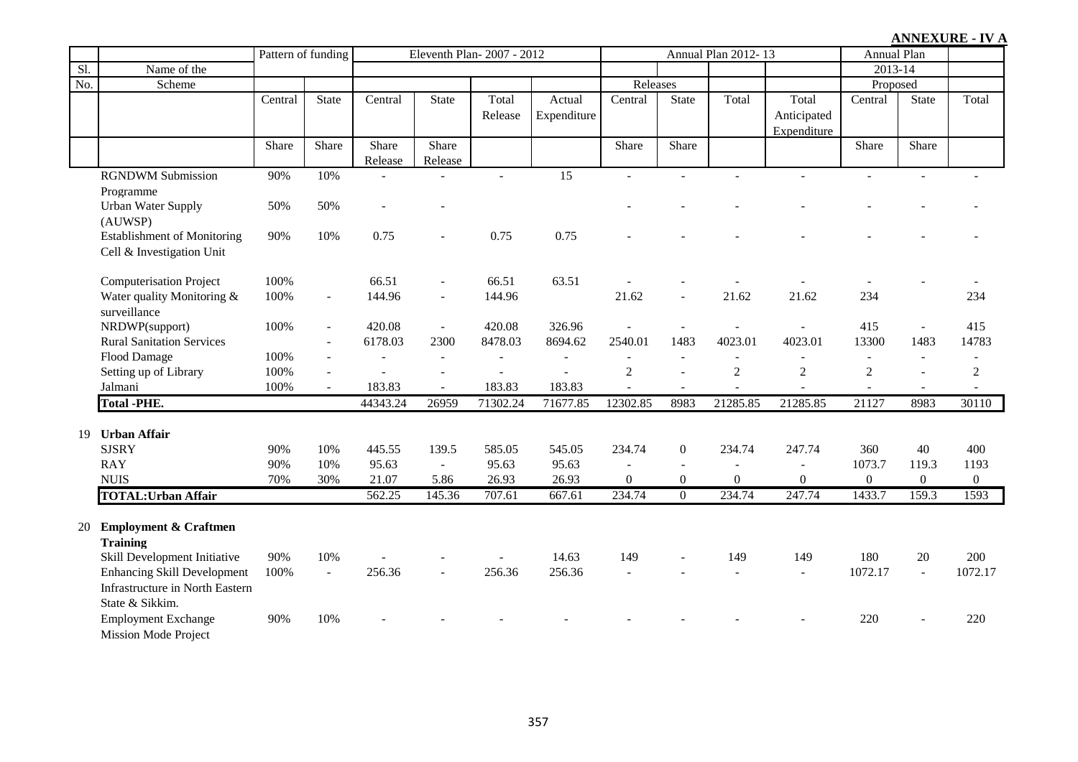|                 |                                    | Pattern of funding |                | Eleventh Plan-2007 - 2012 |                          |                |                 |                  | Annual Plan 2012-13      |                  | <b>Annual Plan</b> |                  |                  |                  |
|-----------------|------------------------------------|--------------------|----------------|---------------------------|--------------------------|----------------|-----------------|------------------|--------------------------|------------------|--------------------|------------------|------------------|------------------|
| $\overline{SI}$ | Name of the                        |                    |                |                           |                          |                |                 |                  |                          |                  |                    | 2013-14          |                  |                  |
| No.             | Scheme                             |                    |                |                           |                          |                |                 | Releases         |                          |                  |                    | Proposed         |                  |                  |
|                 |                                    | Central            | State          | Central                   | <b>State</b>             | Total          | Actual          | Central          | State                    | Total            | Total              | Central          | State            | Total            |
|                 |                                    |                    |                |                           |                          | Release        | Expenditure     |                  |                          |                  | Anticipated        |                  |                  |                  |
|                 |                                    |                    |                |                           |                          |                |                 |                  |                          |                  | Expenditure        |                  |                  |                  |
|                 |                                    | Share              | Share          | Share                     | Share                    |                |                 | Share            | Share                    |                  |                    | Share            | Share            |                  |
|                 |                                    |                    |                | Release                   | Release                  |                |                 |                  |                          |                  |                    |                  |                  |                  |
|                 | <b>RGNDWM Submission</b>           | 90%                | 10%            |                           |                          | $\overline{a}$ | $\overline{15}$ | $\overline{a}$   | $\overline{a}$           |                  | $\overline{a}$     | $\mathbb{L}$     | $\overline{a}$   | $\sim$           |
|                 | Programme                          |                    |                |                           |                          |                |                 |                  |                          |                  |                    |                  |                  |                  |
|                 | <b>Urban Water Supply</b>          | 50%                | 50%            |                           |                          |                |                 |                  |                          |                  |                    |                  |                  |                  |
|                 | (AUWSP)                            |                    |                |                           |                          |                |                 |                  |                          |                  |                    |                  |                  |                  |
|                 | <b>Establishment of Monitoring</b> | 90%                | 10%            | 0.75                      |                          | 0.75           | 0.75            |                  |                          |                  |                    |                  |                  |                  |
|                 | Cell & Investigation Unit          |                    |                |                           |                          |                |                 |                  |                          |                  |                    |                  |                  |                  |
|                 |                                    |                    |                |                           |                          |                |                 |                  |                          |                  |                    |                  |                  |                  |
|                 | <b>Computerisation Project</b>     | 100%               |                | 66.51                     |                          | 66.51          | 63.51           |                  |                          |                  |                    |                  |                  |                  |
|                 | Water quality Monitoring &         | 100%               | $\blacksquare$ | 144.96                    | $\overline{\phantom{a}}$ | 144.96         |                 | 21.62            | $\overline{a}$           | 21.62            | 21.62              | 234              |                  | 234              |
|                 | surveillance                       |                    |                |                           |                          |                |                 |                  |                          |                  |                    |                  |                  |                  |
|                 | NRDWP(support)                     | 100%               | $\blacksquare$ | 420.08                    | $\omega$                 | 420.08         | 326.96          |                  | $\overline{a}$           |                  |                    | 415              | $\omega$         | 415              |
|                 | <b>Rural Sanitation Services</b>   |                    | $\overline{a}$ | 6178.03                   | 2300                     | 8478.03        | 8694.62         | 2540.01          | 1483                     | 4023.01          | 4023.01            | 13300            | 1483             | 14783            |
|                 | Flood Damage                       | 100%               |                |                           | $\sim$                   | $\overline{a}$ |                 | $\overline{a}$   |                          |                  |                    |                  | $\overline{a}$   | $\overline{a}$   |
|                 | Setting up of Library              | 100%               |                |                           |                          |                |                 | $\sqrt{2}$       |                          | $\boldsymbol{2}$ | $\sqrt{2}$         | $\mathfrak{2}$   |                  | $\overline{c}$   |
|                 | Jalmani                            | 100%               |                | 183.83                    |                          | 183.83         | 183.83          |                  |                          |                  |                    |                  | $\blacksquare$   |                  |
|                 | <b>Total -PHE.</b>                 |                    |                | 44343.24                  | 26959                    | 71302.24       | 71677.85        | 12302.85         | 8983                     | 21285.85         | 21285.85           | 21127            | 8983             | 30110            |
|                 |                                    |                    |                |                           |                          |                |                 |                  |                          |                  |                    |                  |                  |                  |
| 19              | <b>Urban Affair</b>                |                    |                |                           |                          |                |                 |                  |                          |                  |                    |                  |                  |                  |
|                 | <b>SJSRY</b>                       | 90%                | 10%            | 445.55                    | 139.5                    | 585.05         | 545.05          | 234.74           | $\overline{0}$           | 234.74           | 247.74             | 360              | 40               | 400              |
|                 | <b>RAY</b>                         | 90%                | 10%            | 95.63                     | $\sim$                   | 95.63          | 95.63           | $\blacksquare$   | $\overline{\phantom{a}}$ |                  | $\blacksquare$     | 1073.7           | 119.3            | 1193             |
|                 | <b>NUIS</b>                        | 70%                | 30%            | 21.07                     | 5.86                     | 26.93          | 26.93           | $\boldsymbol{0}$ | $\boldsymbol{0}$         | $\boldsymbol{0}$ | $\boldsymbol{0}$   | $\boldsymbol{0}$ | $\boldsymbol{0}$ | $\boldsymbol{0}$ |
|                 | <b>TOTAL: Urban Affair</b>         |                    |                | 562.25                    | 145.36                   | 707.61         | 667.61          | 234.74           | $\overline{0}$           | 234.74           | 247.74             | 1433.7           | 159.3            | 1593             |
|                 |                                    |                    |                |                           |                          |                |                 |                  |                          |                  |                    |                  |                  |                  |
| 20              | <b>Employment &amp; Craftmen</b>   |                    |                |                           |                          |                |                 |                  |                          |                  |                    |                  |                  |                  |
|                 | <b>Training</b>                    |                    |                |                           |                          |                |                 |                  |                          |                  |                    |                  |                  |                  |
|                 | Skill Development Initiative       | 90%                | 10%            |                           |                          |                | 14.63           | 149              |                          | 149              | 149                | 180              | 20               | 200              |
|                 | <b>Enhancing Skill Development</b> | 100%               | $\mathbb{Z}^2$ | 256.36                    |                          | 256.36         | 256.36          |                  |                          |                  |                    | 1072.17          | $\mathbb{Z}^2$   | 1072.17          |
|                 | Infrastructure in North Eastern    |                    |                |                           |                          |                |                 |                  |                          |                  |                    |                  |                  |                  |
|                 | State & Sikkim.                    |                    |                |                           |                          |                |                 |                  |                          |                  |                    |                  |                  |                  |
|                 |                                    |                    |                |                           |                          |                |                 |                  |                          |                  |                    |                  |                  |                  |
|                 | <b>Employment Exchange</b>         | 90%                | 10%            |                           |                          |                |                 |                  |                          |                  |                    | 220              |                  | 220              |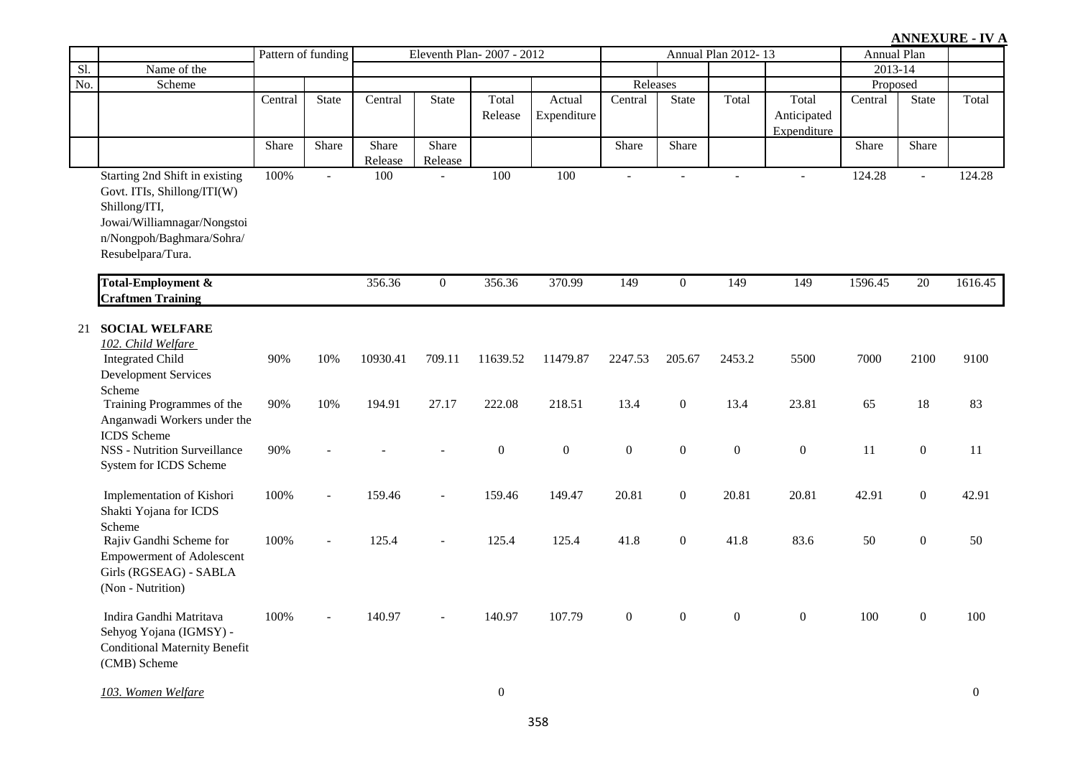#### Sl. Name of the No. Scheme Scheme Central State Central State Total Release Actual Expenditure Central State Total Total Anticipated Expenditure Central State Total Share Share Share  $\frac{\text{Release}}{100}$ Share Release Share Share Share Share Share Share Share Share Share Share Share Share Share Share Share Share Share Share Share Share Share Share Share Share Share Share Share Share Share Share Share Share Share Share Share Share Share Pattern of funding Legislaton Blan- 2007 - 2012 13 Annual Plan 2012- 13 Releases Proposed Annual Plan 2013-14 Starting 2nd Shift in existing Govt. ITIs, Shillong/ITI(W) Shillong/ITI, Jowai/Williamnagar/Nongstoi n/Nongpoh/Baghmara/Sohra/ Resubelpara/Tura. 100% - 100 - 100 100 - - - - - 124.28 - 124.28 **Total-Employment & Craftmen Training** 356.36 0 356.36 370.99 149 0 149 149 1596.45 20 1616.45 21 **SOCIAL WELFARE** *102. Child Welfare*  Integrated Child Development Services Scheme 90% 10% 10930.41 709.11 11639.52 11479.87 2247.53 205.67 2453.2 5500 7000 2100 9100 Training Programmes of the Anganwadi Workers under the ICDS Scheme 90% 10% 194.91 27.17 222.08 218.51 13.4 0 13.4 23.81 65 18 83 NSS - Nutrition Surveillance System for ICDS Scheme 90% - - - 0 0 0 0 0 0 0 11 0 11 Implementation of Kishori Shakti Yojana for ICDS Scheme 100% - 159.46 - 159.46 149.47 20.81 0 20.81 20.81 42.91 0 42.91 Rajiv Gandhi Scheme for Empowerment of Adolescent Girls (RGSEAG) - SABLA (Non - Nutrition) 100% - 125.4 - 125.4 125.4 41.8 0 41.8 83.6 50 0 50 Indira Gandhi Matritava Sehyog Yojana (IGMSY) - Conditional Maternity Benefit (CMB) Scheme 100% - 140.97 - 140.97 107.79 0 0 0 0 100 0 100

*103. Women Welfare* 0 0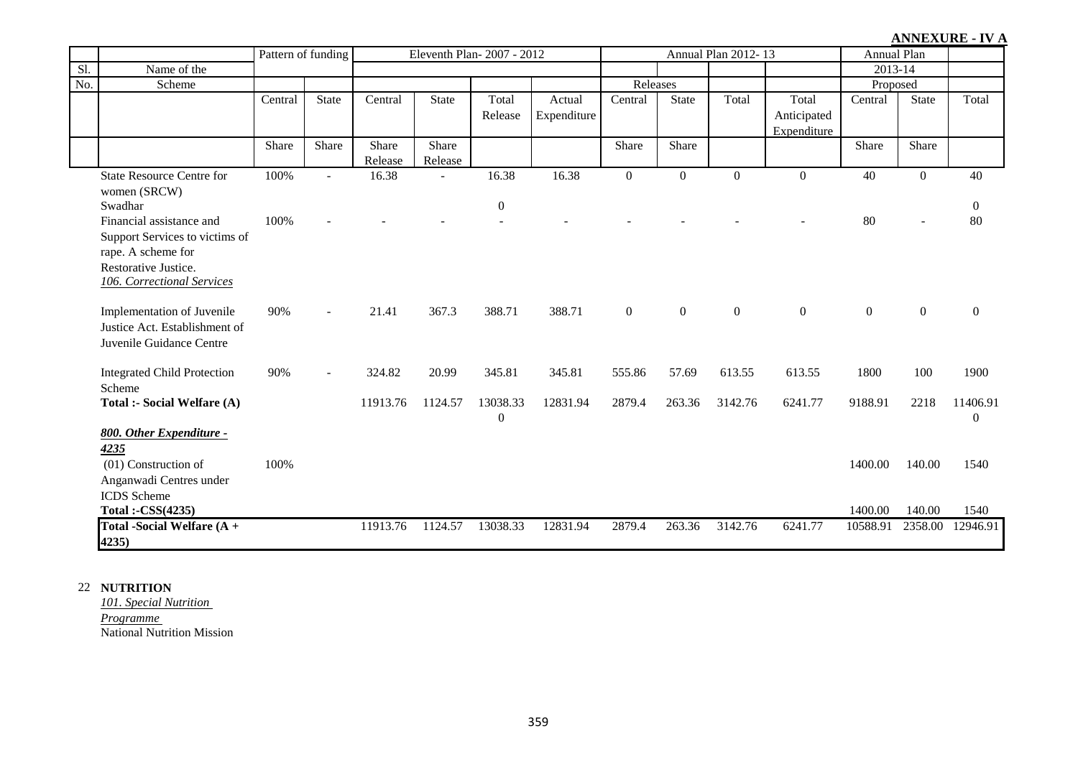|     |                                                                                                                                               | Pattern of funding |                          |                  |                  | Eleventh Plan-2007 - 2012    |                       |                  |                | Annual Plan 2012-13 |                                     | Annual Plan        |                  |                          |
|-----|-----------------------------------------------------------------------------------------------------------------------------------------------|--------------------|--------------------------|------------------|------------------|------------------------------|-----------------------|------------------|----------------|---------------------|-------------------------------------|--------------------|------------------|--------------------------|
| Sl. | Name of the                                                                                                                                   |                    |                          |                  |                  |                              |                       |                  |                |                     |                                     | 2013-14            |                  |                          |
| No. | Scheme                                                                                                                                        |                    |                          |                  |                  |                              |                       | Releases         |                |                     |                                     | Proposed           |                  |                          |
|     |                                                                                                                                               | Central            | <b>State</b>             | Central          | <b>State</b>     | Total<br>Release             | Actual<br>Expenditure | Central          | <b>State</b>   | Total               | Total<br>Anticipated<br>Expenditure | Central            | <b>State</b>     | Total                    |
|     |                                                                                                                                               | Share              | Share                    | Share<br>Release | Share<br>Release |                              |                       | Share            | Share          |                     |                                     | Share              | Share            |                          |
|     | <b>State Resource Centre for</b><br>women (SRCW)<br>Swadhar                                                                                   | 100%               |                          | 16.38            |                  | 16.38<br>$\boldsymbol{0}$    | 16.38                 | $\mathbf{0}$     | $\Omega$       | $\Omega$            | $\theta$                            | 40                 | $\overline{0}$   | 40<br>$\overline{0}$     |
|     | Financial assistance and<br>Support Services to victims of<br>rape. A scheme for<br>Restorative Justice.<br><b>106. Correctional Services</b> | 100%               |                          |                  |                  |                              |                       |                  |                |                     |                                     | 80                 |                  | 80                       |
|     | Implementation of Juvenile<br>Justice Act. Establishment of<br>Juvenile Guidance Centre                                                       | 90%                | $\overline{\phantom{a}}$ | 21.41            | 367.3            | 388.71                       | 388.71                | $\boldsymbol{0}$ | $\overline{0}$ | $\boldsymbol{0}$    | $\boldsymbol{0}$                    | $\boldsymbol{0}$   | $\boldsymbol{0}$ | $\overline{0}$           |
|     | <b>Integrated Child Protection</b><br>Scheme                                                                                                  | 90%                | $\blacksquare$           | 324.82           | 20.99            | 345.81                       | 345.81                | 555.86           | 57.69          | 613.55              | 613.55                              | 1800               | 100              | 1900                     |
|     | Total :- Social Welfare (A)                                                                                                                   |                    |                          | 11913.76         | 1124.57          | 13038.33<br>$\boldsymbol{0}$ | 12831.94              | 2879.4           | 263.36         | 3142.76             | 6241.77                             | 9188.91            | 2218             | 11406.91<br>$\mathbf{0}$ |
|     | 800. Other Expenditure -<br>4235<br>(01) Construction of<br>Anganwadi Centres under<br><b>ICDS</b> Scheme<br>Total:-CSS(4235)                 | 100%               |                          |                  |                  |                              |                       |                  |                |                     |                                     | 1400.00<br>1400.00 | 140.00<br>140.00 | 1540<br>1540             |
|     | Total -Social Welfare (A +<br>4235)                                                                                                           |                    |                          | 11913.76         | 1124.57          | 13038.33                     | 12831.94              | 2879.4           | 263.36         | 3142.76             | 6241.77                             | 10588.91           | 2358.00          | 12946.91                 |

#### 22 **NUTRITION**

*101. Special Nutrition Programme*  National Nutrition Mission